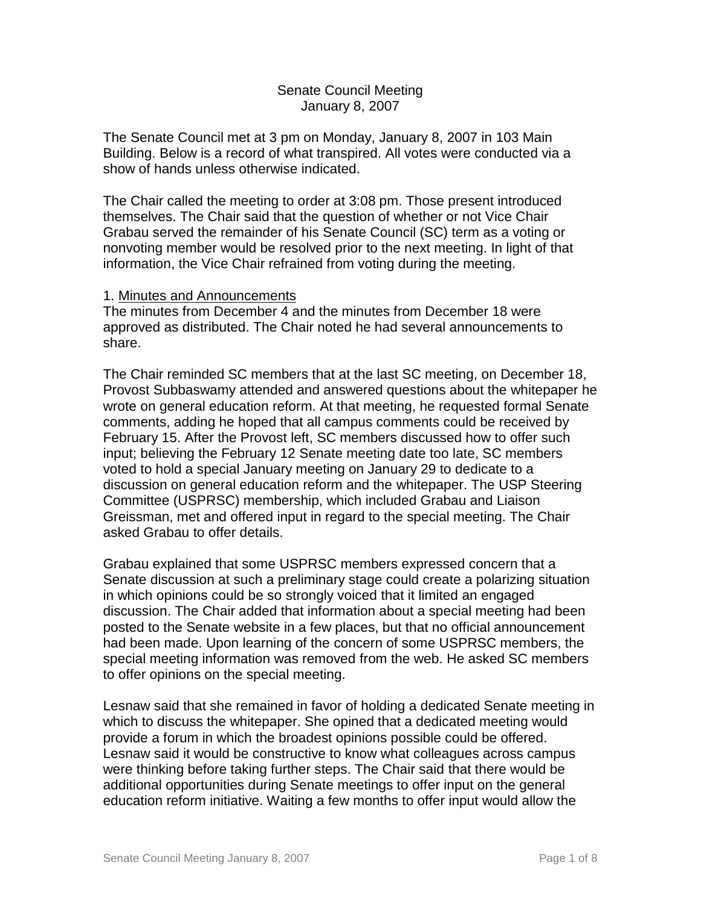## Senate Council Meeting January 8, 2007

The Senate Council met at 3 pm on Monday, January 8, 2007 in 103 Main Building. Below is a record of what transpired. All votes were conducted via a show of hands unless otherwise indicated.

The Chair called the meeting to order at 3:08 pm. Those present introduced themselves. The Chair said that the question of whether or not Vice Chair Grabau served the remainder of his Senate Council (SC) term as a voting or nonvoting member would be resolved prior to the next meeting. In light of that information, the Vice Chair refrained from voting during the meeting.

### 1. Minutes and Announcements

The minutes from December 4 and the minutes from December 18 were approved as distributed. The Chair noted he had several announcements to share.

The Chair reminded SC members that at the last SC meeting, on December 18, Provost Subbaswamy attended and answered questions about the whitepaper he wrote on general education reform. At that meeting, he requested formal Senate comments, adding he hoped that all campus comments could be received by February 15. After the Provost left, SC members discussed how to offer such input; believing the February 12 Senate meeting date too late, SC members voted to hold a special January meeting on January 29 to dedicate to a discussion on general education reform and the whitepaper. The USP Steering Committee (USPRSC) membership, which included Grabau and Liaison Greissman, met and offered input in regard to the special meeting. The Chair asked Grabau to offer details.

Grabau explained that some USPRSC members expressed concern that a Senate discussion at such a preliminary stage could create a polarizing situation in which opinions could be so strongly voiced that it limited an engaged discussion. The Chair added that information about a special meeting had been posted to the Senate website in a few places, but that no official announcement had been made. Upon learning of the concern of some USPRSC members, the special meeting information was removed from the web. He asked SC members to offer opinions on the special meeting.

Lesnaw said that she remained in favor of holding a dedicated Senate meeting in which to discuss the whitepaper. She opined that a dedicated meeting would provide a forum in which the broadest opinions possible could be offered. Lesnaw said it would be constructive to know what colleagues across campus were thinking before taking further steps. The Chair said that there would be additional opportunities during Senate meetings to offer input on the general education reform initiative. Waiting a few months to offer input would allow the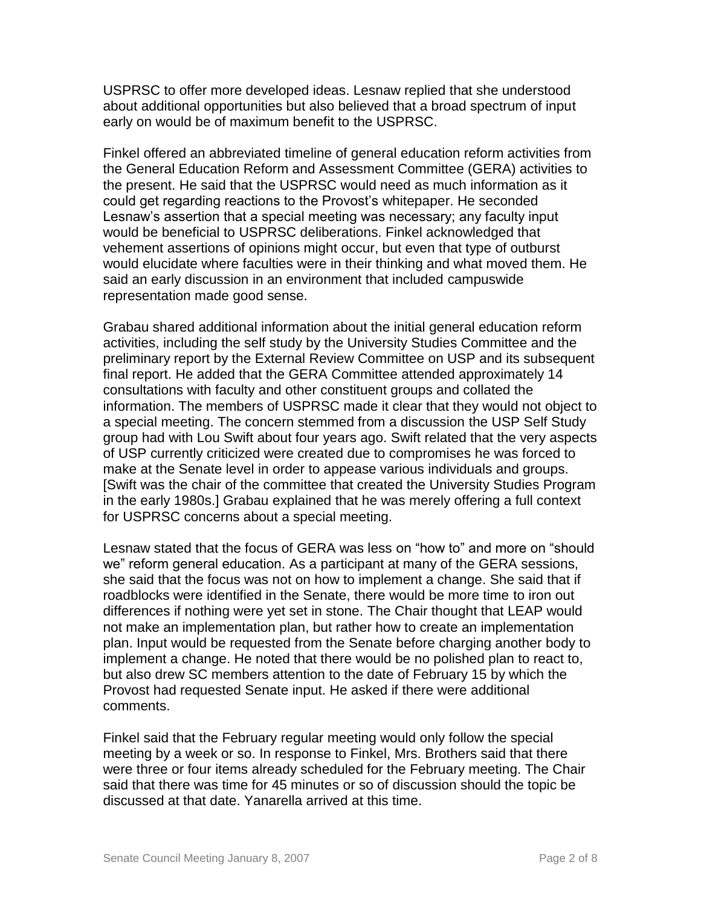USPRSC to offer more developed ideas. Lesnaw replied that she understood about additional opportunities but also believed that a broad spectrum of input early on would be of maximum benefit to the USPRSC.

Finkel offered an abbreviated timeline of general education reform activities from the General Education Reform and Assessment Committee (GERA) activities to the present. He said that the USPRSC would need as much information as it could get regarding reactions to the Provost's whitepaper. He seconded Lesnaw's assertion that a special meeting was necessary; any faculty input would be beneficial to USPRSC deliberations. Finkel acknowledged that vehement assertions of opinions might occur, but even that type of outburst would elucidate where faculties were in their thinking and what moved them. He said an early discussion in an environment that included campuswide representation made good sense.

Grabau shared additional information about the initial general education reform activities, including the self study by the University Studies Committee and the preliminary report by the External Review Committee on USP and its subsequent final report. He added that the GERA Committee attended approximately 14 consultations with faculty and other constituent groups and collated the information. The members of USPRSC made it clear that they would not object to a special meeting. The concern stemmed from a discussion the USP Self Study group had with Lou Swift about four years ago. Swift related that the very aspects of USP currently criticized were created due to compromises he was forced to make at the Senate level in order to appease various individuals and groups. [Swift was the chair of the committee that created the University Studies Program in the early 1980s.] Grabau explained that he was merely offering a full context for USPRSC concerns about a special meeting.

Lesnaw stated that the focus of GERA was less on "how to" and more on "should we" reform general education. As a participant at many of the GERA sessions, she said that the focus was not on how to implement a change. She said that if roadblocks were identified in the Senate, there would be more time to iron out differences if nothing were yet set in stone. The Chair thought that LEAP would not make an implementation plan, but rather how to create an implementation plan. Input would be requested from the Senate before charging another body to implement a change. He noted that there would be no polished plan to react to, but also drew SC members attention to the date of February 15 by which the Provost had requested Senate input. He asked if there were additional comments.

Finkel said that the February regular meeting would only follow the special meeting by a week or so. In response to Finkel, Mrs. Brothers said that there were three or four items already scheduled for the February meeting. The Chair said that there was time for 45 minutes or so of discussion should the topic be discussed at that date. Yanarella arrived at this time.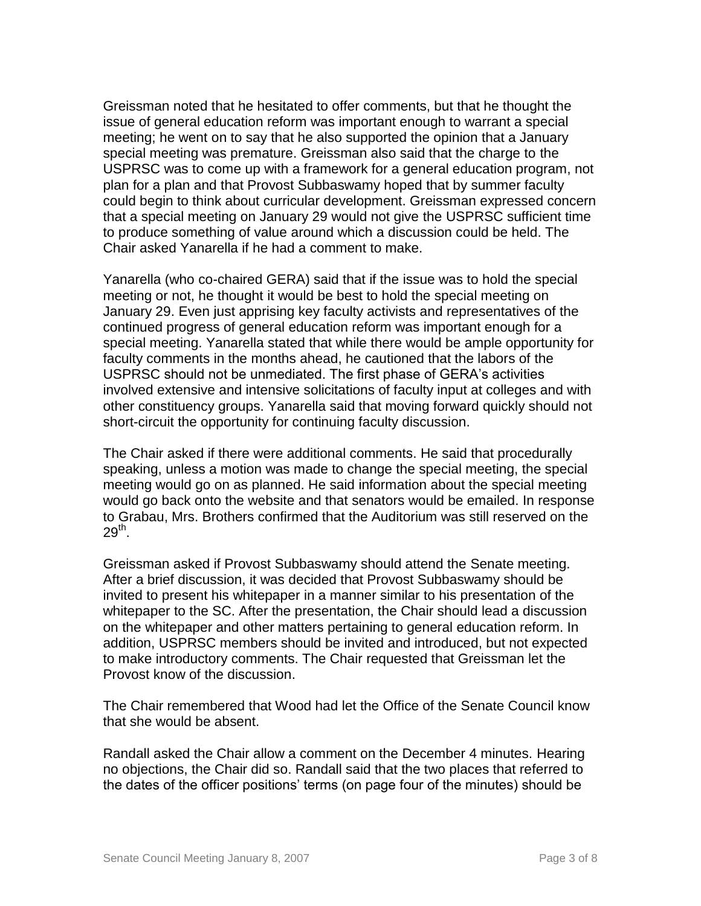Greissman noted that he hesitated to offer comments, but that he thought the issue of general education reform was important enough to warrant a special meeting; he went on to say that he also supported the opinion that a January special meeting was premature. Greissman also said that the charge to the USPRSC was to come up with a framework for a general education program, not plan for a plan and that Provost Subbaswamy hoped that by summer faculty could begin to think about curricular development. Greissman expressed concern that a special meeting on January 29 would not give the USPRSC sufficient time to produce something of value around which a discussion could be held. The Chair asked Yanarella if he had a comment to make.

Yanarella (who co-chaired GERA) said that if the issue was to hold the special meeting or not, he thought it would be best to hold the special meeting on January 29. Even just apprising key faculty activists and representatives of the continued progress of general education reform was important enough for a special meeting. Yanarella stated that while there would be ample opportunity for faculty comments in the months ahead, he cautioned that the labors of the USPRSC should not be unmediated. The first phase of GERA's activities involved extensive and intensive solicitations of faculty input at colleges and with other constituency groups. Yanarella said that moving forward quickly should not short-circuit the opportunity for continuing faculty discussion.

The Chair asked if there were additional comments. He said that procedurally speaking, unless a motion was made to change the special meeting, the special meeting would go on as planned. He said information about the special meeting would go back onto the website and that senators would be emailed. In response to Grabau, Mrs. Brothers confirmed that the Auditorium was still reserved on the  $29^\mathsf{th}$ .

Greissman asked if Provost Subbaswamy should attend the Senate meeting. After a brief discussion, it was decided that Provost Subbaswamy should be invited to present his whitepaper in a manner similar to his presentation of the whitepaper to the SC. After the presentation, the Chair should lead a discussion on the whitepaper and other matters pertaining to general education reform. In addition, USPRSC members should be invited and introduced, but not expected to make introductory comments. The Chair requested that Greissman let the Provost know of the discussion.

The Chair remembered that Wood had let the Office of the Senate Council know that she would be absent.

Randall asked the Chair allow a comment on the December 4 minutes. Hearing no objections, the Chair did so. Randall said that the two places that referred to the dates of the officer positions' terms (on page four of the minutes) should be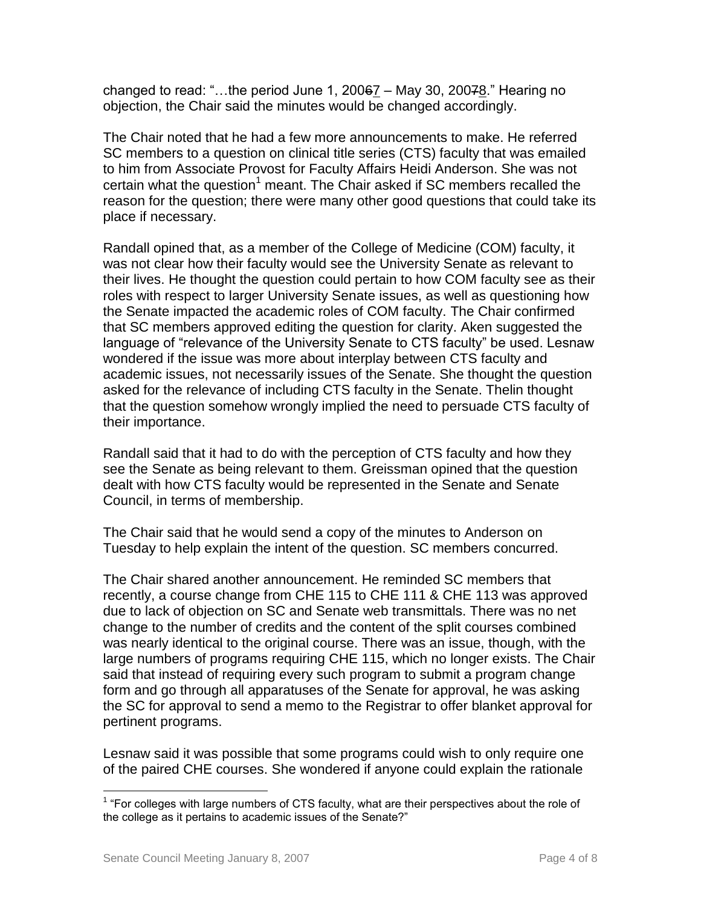changed to read: "...the period June 1,  $20067 -$  May 30,  $20078$ ." Hearing no objection, the Chair said the minutes would be changed accordingly.

The Chair noted that he had a few more announcements to make. He referred SC members to a question on clinical title series (CTS) faculty that was emailed to him from Associate Provost for Faculty Affairs Heidi Anderson. She was not certain what the question<sup>1</sup> meant. The Chair asked if SC members recalled the reason for the question; there were many other good questions that could take its place if necessary.

Randall opined that, as a member of the College of Medicine (COM) faculty, it was not clear how their faculty would see the University Senate as relevant to their lives. He thought the question could pertain to how COM faculty see as their roles with respect to larger University Senate issues, as well as questioning how the Senate impacted the academic roles of COM faculty. The Chair confirmed that SC members approved editing the question for clarity. Aken suggested the language of "relevance of the University Senate to CTS faculty" be used. Lesnaw wondered if the issue was more about interplay between CTS faculty and academic issues, not necessarily issues of the Senate. She thought the question asked for the relevance of including CTS faculty in the Senate. Thelin thought that the question somehow wrongly implied the need to persuade CTS faculty of their importance.

Randall said that it had to do with the perception of CTS faculty and how they see the Senate as being relevant to them. Greissman opined that the question dealt with how CTS faculty would be represented in the Senate and Senate Council, in terms of membership.

The Chair said that he would send a copy of the minutes to Anderson on Tuesday to help explain the intent of the question. SC members concurred.

The Chair shared another announcement. He reminded SC members that recently, a course change from CHE 115 to CHE 111 & CHE 113 was approved due to lack of objection on SC and Senate web transmittals. There was no net change to the number of credits and the content of the split courses combined was nearly identical to the original course. There was an issue, though, with the large numbers of programs requiring CHE 115, which no longer exists. The Chair said that instead of requiring every such program to submit a program change form and go through all apparatuses of the Senate for approval, he was asking the SC for approval to send a memo to the Registrar to offer blanket approval for pertinent programs.

Lesnaw said it was possible that some programs could wish to only require one of the paired CHE courses. She wondered if anyone could explain the rationale

<sup>————————————————————&</sup>lt;br><sup>1</sup> "For colleges with large numbers of CTS faculty, what are their perspectives about the role of the college as it pertains to academic issues of the Senate?"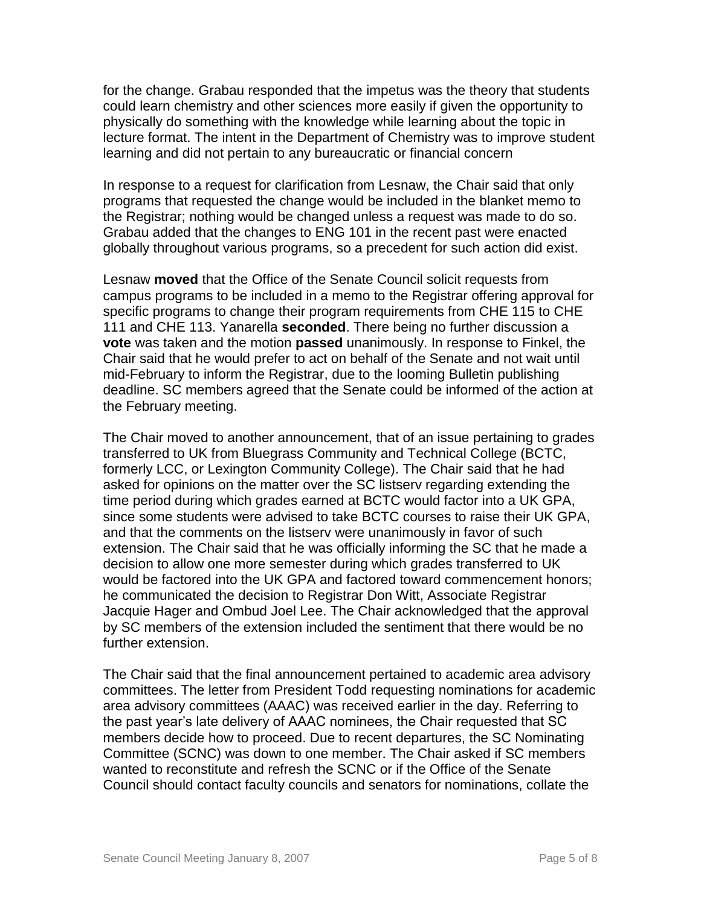for the change. Grabau responded that the impetus was the theory that students could learn chemistry and other sciences more easily if given the opportunity to physically do something with the knowledge while learning about the topic in lecture format. The intent in the Department of Chemistry was to improve student learning and did not pertain to any bureaucratic or financial concern

In response to a request for clarification from Lesnaw, the Chair said that only programs that requested the change would be included in the blanket memo to the Registrar; nothing would be changed unless a request was made to do so. Grabau added that the changes to ENG 101 in the recent past were enacted globally throughout various programs, so a precedent for such action did exist.

Lesnaw **moved** that the Office of the Senate Council solicit requests from campus programs to be included in a memo to the Registrar offering approval for specific programs to change their program requirements from CHE 115 to CHE 111 and CHE 113. Yanarella **seconded**. There being no further discussion a **vote** was taken and the motion **passed** unanimously. In response to Finkel, the Chair said that he would prefer to act on behalf of the Senate and not wait until mid-February to inform the Registrar, due to the looming Bulletin publishing deadline. SC members agreed that the Senate could be informed of the action at the February meeting.

The Chair moved to another announcement, that of an issue pertaining to grades transferred to UK from Bluegrass Community and Technical College (BCTC, formerly LCC, or Lexington Community College). The Chair said that he had asked for opinions on the matter over the SC listserv regarding extending the time period during which grades earned at BCTC would factor into a UK GPA, since some students were advised to take BCTC courses to raise their UK GPA, and that the comments on the listserv were unanimously in favor of such extension. The Chair said that he was officially informing the SC that he made a decision to allow one more semester during which grades transferred to UK would be factored into the UK GPA and factored toward commencement honors; he communicated the decision to Registrar Don Witt, Associate Registrar Jacquie Hager and Ombud Joel Lee. The Chair acknowledged that the approval by SC members of the extension included the sentiment that there would be no further extension.

The Chair said that the final announcement pertained to academic area advisory committees. The letter from President Todd requesting nominations for academic area advisory committees (AAAC) was received earlier in the day. Referring to the past year's late delivery of AAAC nominees, the Chair requested that SC members decide how to proceed. Due to recent departures, the SC Nominating Committee (SCNC) was down to one member. The Chair asked if SC members wanted to reconstitute and refresh the SCNC or if the Office of the Senate Council should contact faculty councils and senators for nominations, collate the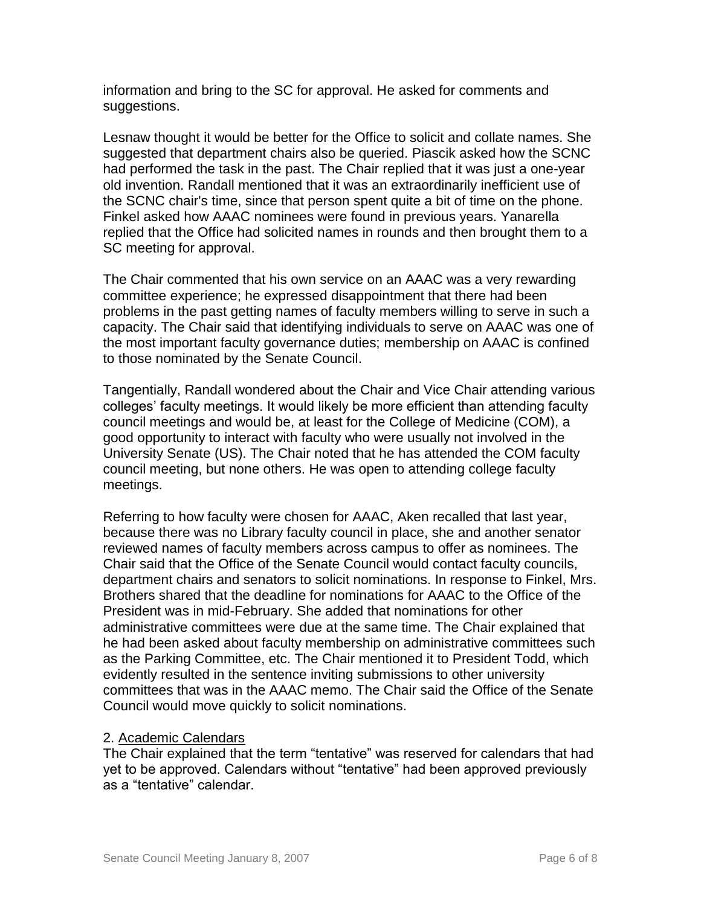information and bring to the SC for approval. He asked for comments and suggestions.

Lesnaw thought it would be better for the Office to solicit and collate names. She suggested that department chairs also be queried. Piascik asked how the SCNC had performed the task in the past. The Chair replied that it was just a one-year old invention. Randall mentioned that it was an extraordinarily inefficient use of the SCNC chair's time, since that person spent quite a bit of time on the phone. Finkel asked how AAAC nominees were found in previous years. Yanarella replied that the Office had solicited names in rounds and then brought them to a SC meeting for approval.

The Chair commented that his own service on an AAAC was a very rewarding committee experience; he expressed disappointment that there had been problems in the past getting names of faculty members willing to serve in such a capacity. The Chair said that identifying individuals to serve on AAAC was one of the most important faculty governance duties; membership on AAAC is confined to those nominated by the Senate Council.

Tangentially, Randall wondered about the Chair and Vice Chair attending various colleges' faculty meetings. It would likely be more efficient than attending faculty council meetings and would be, at least for the College of Medicine (COM), a good opportunity to interact with faculty who were usually not involved in the University Senate (US). The Chair noted that he has attended the COM faculty council meeting, but none others. He was open to attending college faculty meetings.

Referring to how faculty were chosen for AAAC, Aken recalled that last year, because there was no Library faculty council in place, she and another senator reviewed names of faculty members across campus to offer as nominees. The Chair said that the Office of the Senate Council would contact faculty councils, department chairs and senators to solicit nominations. In response to Finkel, Mrs. Brothers shared that the deadline for nominations for AAAC to the Office of the President was in mid-February. She added that nominations for other administrative committees were due at the same time. The Chair explained that he had been asked about faculty membership on administrative committees such as the Parking Committee, etc. The Chair mentioned it to President Todd, which evidently resulted in the sentence inviting submissions to other university committees that was in the AAAC memo. The Chair said the Office of the Senate Council would move quickly to solicit nominations.

### 2. Academic Calendars

The Chair explained that the term "tentative" was reserved for calendars that had yet to be approved. Calendars without "tentative" had been approved previously as a "tentative" calendar.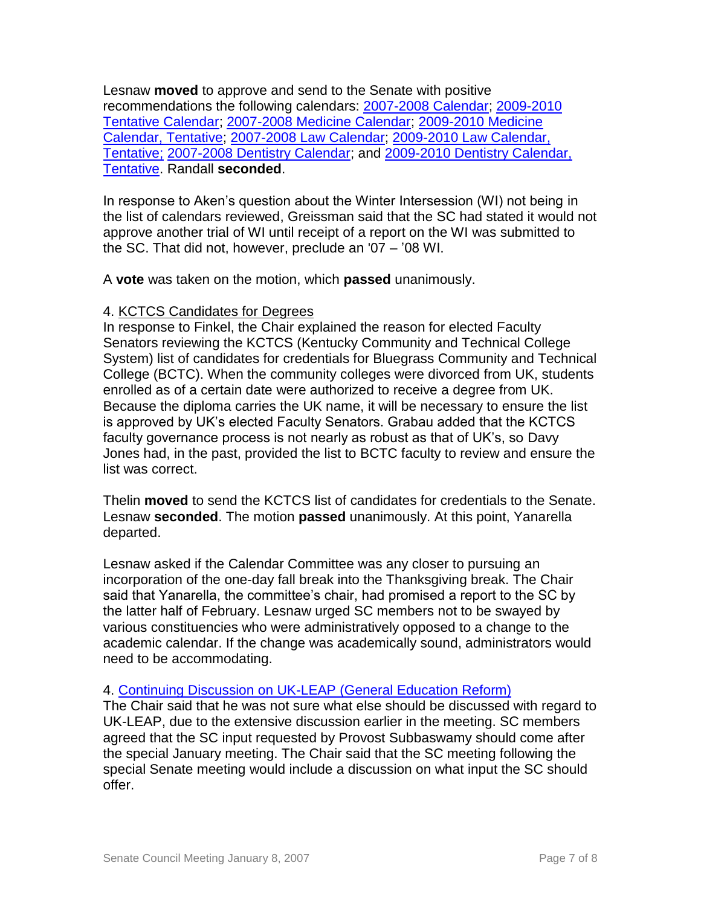Lesnaw **moved** to approve and send to the Senate with positive recommendations the following calendars: [2007-2008 Calendar;](http://www.uky.edu/USC/New/files/20070108/2007-2008.pdf) [2009-2010](http://www.uky.edu/USC/New/files/20070108/2009-2010%20Tentative.pdf)  [Tentative Calendar;](http://www.uky.edu/USC/New/files/20070108/2009-2010%20Tentative.pdf) [2007-2008 Medicine Calendar;](http://www.uky.edu/USC/New/files/20070108/2007-2008%20Medicine.pdf) [2009-2010 Medicine](http://www.uky.edu/USC/New/files/20070108/2009-2010%20Medicine%20tentative.pdf)  [Calendar, Tentative;](http://www.uky.edu/USC/New/files/20070108/2009-2010%20Medicine%20tentative.pdf) [2007-2008 Law Calendar;](http://www.uky.edu/USC/New/files/20070108/2007-2008%20LAW.pdf) [2009-2010 Law Calendar,](http://www.uky.edu/USC/New/files/20070108/2009-2010%20Law%20Tentative.pdf)  [Tentative;](http://www.uky.edu/USC/New/files/20070108/2009-2010%20Law%20Tentative.pdf) [2007-2008 Dentistry Calendar;](http://www.uky.edu/USC/New/files/20070108/2007-2008%20Dentistry.pdf) and [2009-2010 Dentistry Calendar,](http://www.uky.edu/USC/New/files/20070108/2009-2010%20Dentistry%20tentative.pdf)  [Tentative.](http://www.uky.edu/USC/New/files/20070108/2009-2010%20Dentistry%20tentative.pdf) Randall **seconded**.

In response to Aken's question about the Winter Intersession (WI) not being in the list of calendars reviewed, Greissman said that the SC had stated it would not approve another trial of WI until receipt of a report on the WI was submitted to the SC. That did not, however, preclude an '07 – '08 WI.

A **vote** was taken on the motion, which **passed** unanimously.

# 4. KCTCS Candidates for Degrees

In response to Finkel, the Chair explained the reason for elected Faculty Senators reviewing the KCTCS (Kentucky Community and Technical College System) list of candidates for credentials for Bluegrass Community and Technical College (BCTC). When the community colleges were divorced from UK, students enrolled as of a certain date were authorized to receive a degree from UK. Because the diploma carries the UK name, it will be necessary to ensure the list is approved by UK's elected Faculty Senators. Grabau added that the KCTCS faculty governance process is not nearly as robust as that of UK's, so Davy Jones had, in the past, provided the list to BCTC faculty to review and ensure the list was correct.

Thelin **moved** to send the KCTCS list of candidates for credentials to the Senate. Lesnaw **seconded**. The motion **passed** unanimously. At this point, Yanarella departed.

Lesnaw asked if the Calendar Committee was any closer to pursuing an incorporation of the one-day fall break into the Thanksgiving break. The Chair said that Yanarella, the committee's chair, had promised a report to the SC by the latter half of February. Lesnaw urged SC members not to be swayed by various constituencies who were administratively opposed to a change to the academic calendar. If the change was academically sound, administrators would need to be accommodating.

# 4. Continuing [Discussion on UK-LEAP \(General Education Reform\)](http://www.uky.edu/USC/New/files/20061218/UK-LEAP.pdf)

The Chair said that he was not sure what else should be discussed with regard to UK-LEAP, due to the extensive discussion earlier in the meeting. SC members agreed that the SC input requested by Provost Subbaswamy should come after the special January meeting. The Chair said that the SC meeting following the special Senate meeting would include a discussion on what input the SC should offer.